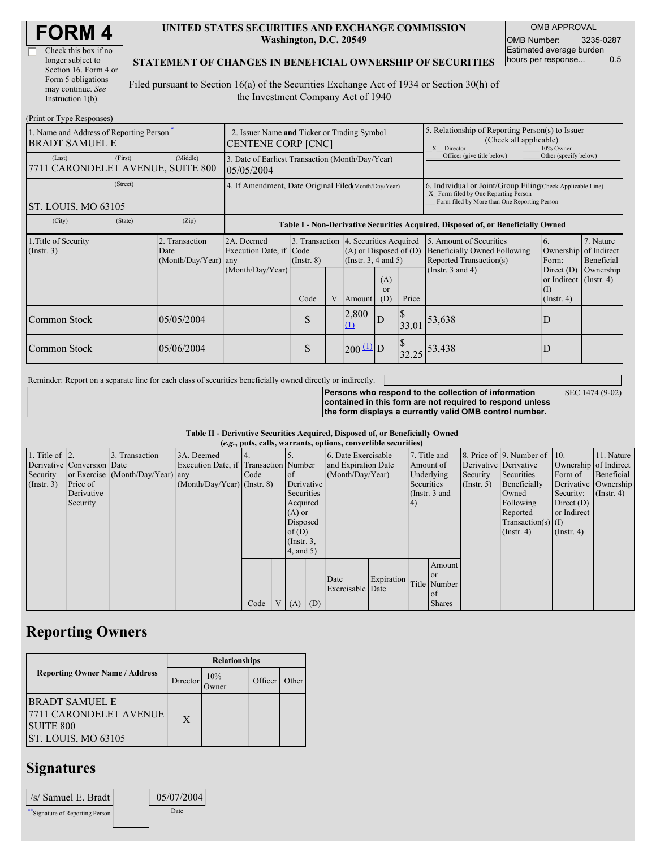| Check this box if no  |
|-----------------------|
| longer subject to     |
| Section 16. Form 4 or |
| Form 5 obligations    |
| may continue. See     |
| Instruction 1(b).     |

#### **UNITED STATES SECURITIES AND EXCHANGE COMMISSION Washington, D.C. 20549**

OMB APPROVAL OMB Number: 3235-0287 Estimated average burden hours per response... 0.5

#### **STATEMENT OF CHANGES IN BENEFICIAL OWNERSHIP OF SECURITIES**

Filed pursuant to Section 16(a) of the Securities Exchange Act of 1934 or Section 30(h) of the Investment Company Act of 1940

| (Print or Type Responses)                                         |                                                                |                                                |                                                                                  |                 |        |                                                                                                 |                            |                       |                                                                                                                                                    |                          |                                        |  |
|-------------------------------------------------------------------|----------------------------------------------------------------|------------------------------------------------|----------------------------------------------------------------------------------|-----------------|--------|-------------------------------------------------------------------------------------------------|----------------------------|-----------------------|----------------------------------------------------------------------------------------------------------------------------------------------------|--------------------------|----------------------------------------|--|
| 1. Name and Address of Reporting Person-<br><b>BRADT SAMUEL E</b> |                                                                |                                                | 2. Issuer Name and Ticker or Trading Symbol<br><b>CENTENE CORP [CNC]</b>         |                 |        |                                                                                                 |                            |                       | 5. Relationship of Reporting Person(s) to Issuer<br>(Check all applicable)<br>10% Owner<br>X Director                                              |                          |                                        |  |
| (Last)<br>7711 CARONDELET AVENUE, SUITE 800                       | 3. Date of Earliest Transaction (Month/Day/Year)<br>05/05/2004 |                                                |                                                                                  |                 |        |                                                                                                 | Officer (give title below) | Other (specify below) |                                                                                                                                                    |                          |                                        |  |
| (Street)<br>ST. LOUIS, MO 63105                                   |                                                                |                                                | 4. If Amendment, Date Original Filed(Month/Day/Year)                             |                 |        |                                                                                                 |                            |                       | 6. Individual or Joint/Group Filing Check Applicable Line)<br>X Form filed by One Reporting Person<br>Form filed by More than One Reporting Person |                          |                                        |  |
| (City)                                                            | (State)                                                        | (Zip)                                          | Table I - Non-Derivative Securities Acquired, Disposed of, or Beneficially Owned |                 |        |                                                                                                 |                            |                       |                                                                                                                                                    |                          |                                        |  |
| 1. Title of Security<br>$($ Instr. 3 $)$                          |                                                                | 2. Transaction<br>Date<br>(Month/Day/Year) any | 2A. Deemed<br>Execution Date, if Code<br>(Month/Day/Year)                        | $($ Instr. $8)$ |        | 3. Transaction 4. Securities Acquired<br>$(A)$ or Disposed of $(D)$<br>(Instr. $3, 4$ and $5$ ) |                            |                       | 5. Amount of Securities<br><b>Beneficially Owned Following</b><br>Reported Transaction(s)                                                          | 6.<br>Ownership<br>Form: | 7. Nature<br>of Indirect<br>Beneficial |  |
|                                                                   | Code                                                           |                                                |                                                                                  | V               | Amount | (A)<br>$\alpha$<br>(D)                                                                          | Price                      | (Instr. $3$ and $4$ ) | Direct $(D)$<br>or Indirect (Instr. 4)<br>(1)<br>$($ Instr. 4 $)$                                                                                  | Ownership                |                                        |  |
| Common Stock                                                      |                                                                | 05/05/2004                                     |                                                                                  | S               |        | 2,800<br>(1)                                                                                    | D                          | $\mathbb{S}$<br>33.01 | 53,638                                                                                                                                             | D                        |                                        |  |
| Common Stock                                                      |                                                                | 05/06/2004                                     |                                                                                  | S               |        | $200 \frac{11}{10}$ D                                                                           |                            | 32.25                 | 53,438                                                                                                                                             | D                        |                                        |  |

Reminder: Report on a separate line for each class of securities beneficially owned directly or indirectly.

**Persons who respond to the collection of information**

SEC 1474 (9-02)

**contained in this form are not required to respond unless the form displays a currently valid OMB control number.**

**Table II - Derivative Securities Acquired, Disposed of, or Beneficially Owned**

| (e.g., puts, calls, warrants, options, convertible securities) |                            |                                  |                                       |      |                |                 |            |                     |            |            |                 |               |                          |                       |                  |
|----------------------------------------------------------------|----------------------------|----------------------------------|---------------------------------------|------|----------------|-----------------|------------|---------------------|------------|------------|-----------------|---------------|--------------------------|-----------------------|------------------|
| 1. Title of $\vert$ 2.                                         |                            | 3. Transaction                   | 3A. Deemed                            | 4.   |                |                 |            | 6. Date Exercisable |            |            | 7. Title and    |               | 8. Price of 9. Number of | $\vert$ 10.           | 11. Nature       |
|                                                                | Derivative Conversion Date |                                  | Execution Date, if Transaction Number |      |                |                 |            | and Expiration Date |            |            | Amount of       |               | Derivative Derivative    | Ownership of Indirect |                  |
| Security                                                       |                            | or Exercise (Month/Day/Year) any |                                       | Code |                | <sub>of</sub>   |            | (Month/Day/Year)    |            |            | Underlying      | Security      | Securities               | Form of               | Beneficial       |
| $($ Instr. 3 $)$                                               | Price of                   |                                  | $(Month/Day/Year)$ (Instr. 8)         |      |                |                 | Derivative |                     |            | Securities |                 | $($ Instr. 5) | Beneficially             | Derivative Ownership  |                  |
|                                                                | Derivative                 |                                  |                                       |      |                | Securities      |            |                     |            |            | (Instr. $3$ and |               | Owned                    | Security:             | $($ Instr. 4 $)$ |
|                                                                | Security                   |                                  |                                       |      |                | Acquired        |            |                     |            | 4)         |                 |               | Following                | Direct $(D)$          |                  |
|                                                                |                            |                                  |                                       |      |                | $(A)$ or        |            |                     |            |            |                 |               | Reported                 | or Indirect           |                  |
|                                                                |                            |                                  |                                       |      |                | Disposed        |            |                     |            |            |                 |               | $Transaction(s)$ (I)     |                       |                  |
|                                                                |                            |                                  |                                       |      |                | of(D)           |            |                     |            |            |                 |               | $($ Instr. 4 $)$         | $($ Instr. 4 $)$      |                  |
|                                                                |                            |                                  |                                       |      |                | $($ Instr. $3,$ |            |                     |            |            |                 |               |                          |                       |                  |
|                                                                |                            |                                  |                                       |      |                | $4$ , and $5$ ) |            |                     |            |            |                 |               |                          |                       |                  |
|                                                                |                            |                                  |                                       |      |                |                 |            |                     |            |            | Amount          |               |                          |                       |                  |
|                                                                |                            |                                  |                                       |      |                |                 |            |                     |            |            | <sub>or</sub>   |               |                          |                       |                  |
|                                                                |                            |                                  |                                       |      |                |                 |            | Date                | Expiration |            | Title Number    |               |                          |                       |                  |
|                                                                |                            |                                  |                                       |      |                |                 |            | Exercisable Date    |            |            | <sub>of</sub>   |               |                          |                       |                  |
|                                                                |                            |                                  |                                       | Code | V <sub>1</sub> | (A)             | (D)        |                     |            |            | <b>Shares</b>   |               |                          |                       |                  |

### **Reporting Owners**

|                                                                                            | <b>Relationships</b> |              |         |       |  |  |  |
|--------------------------------------------------------------------------------------------|----------------------|--------------|---------|-------|--|--|--|
| <b>Reporting Owner Name / Address</b>                                                      | Director             | 10%<br>Owner | Officer | Other |  |  |  |
| <b>BRADT SAMUEL E</b><br>7711 CARONDELET AVENUE<br><b>SUITE 800</b><br>ST. LOUIS, MO 63105 | X                    |              |         |       |  |  |  |

## **Signatures**

| /s/ Samuel E. Bradt              | 05/07/2004 |
|----------------------------------|------------|
| ** Signature of Reporting Person | Date       |